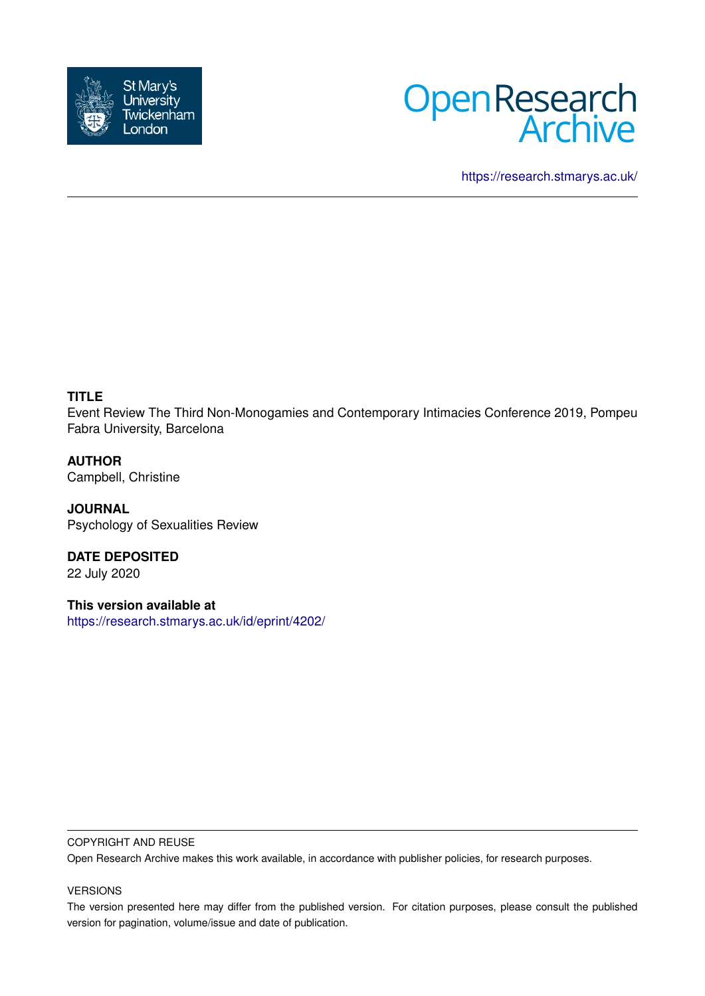



<https://research.stmarys.ac.uk/>

# **TITLE**

Event Review The Third Non-Monogamies and Contemporary Intimacies Conference 2019, Pompeu Fabra University, Barcelona

**AUTHOR** Campbell, Christine

**JOURNAL** Psychology of Sexualities Review

**DATE DEPOSITED** 22 July 2020

**This version available at** <https://research.stmarys.ac.uk/id/eprint/4202/>

### COPYRIGHT AND REUSE

Open Research Archive makes this work available, in accordance with publisher policies, for research purposes.

## VERSIONS

The version presented here may differ from the published version. For citation purposes, please consult the published version for pagination, volume/issue and date of publication.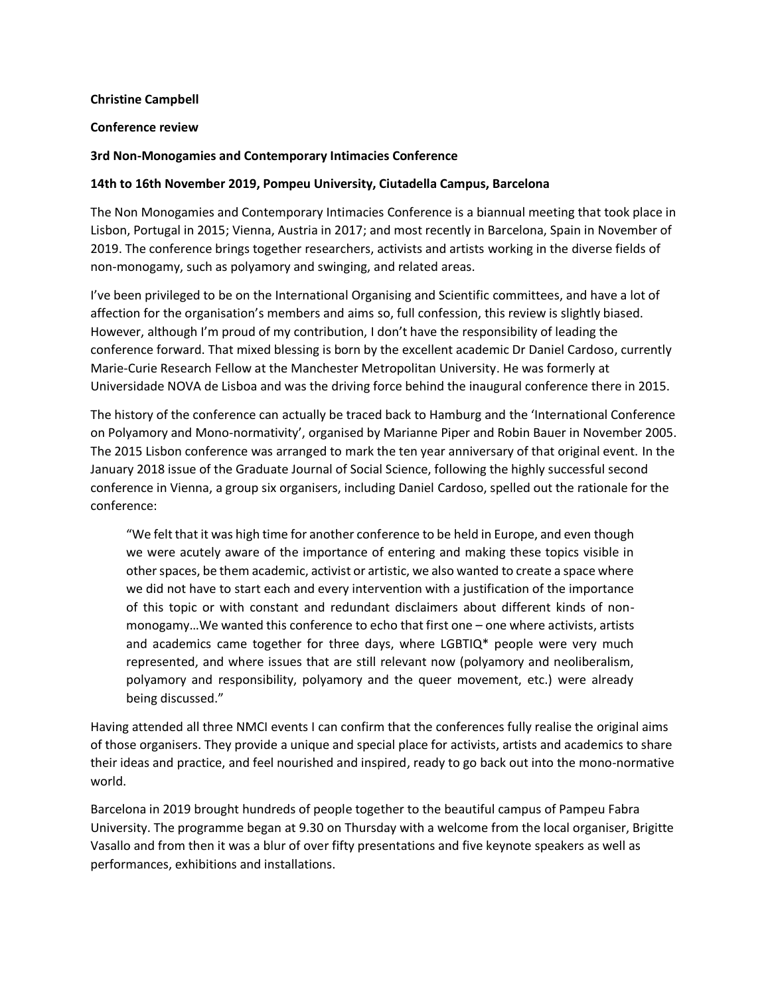#### **Christine Campbell**

#### **Conference review**

#### **3rd Non-Monogamies and Contemporary Intimacies Conference**

#### **14th to 16th November 2019, Pompeu University, Ciutadella Campus, Barcelona**

The Non Monogamies and Contemporary Intimacies Conference is a biannual meeting that took place in Lisbon, Portugal in 2015; Vienna, Austria in 2017; and most recently in Barcelona, Spain in November of 2019. The conference brings together researchers, activists and artists working in the diverse fields of non-monogamy, such as polyamory and swinging, and related areas.

I've been privileged to be on the International Organising and Scientific committees, and have a lot of affection for the organisation's members and aims so, full confession, this review is slightly biased. However, although I'm proud of my contribution, I don't have the responsibility of leading the conference forward. That mixed blessing is born by the excellent academic Dr Daniel Cardoso, currently Marie-Curie Research Fellow at the Manchester Metropolitan University. He was formerly at Universidade NOVA de Lisboa and was the driving force behind the inaugural conference there in 2015.

The history of the conference can actually be traced back to Hamburg and the 'International Conference on Polyamory and Mono-normativity', organised by Marianne Piper and Robin Bauer in November 2005. The 2015 Lisbon conference was arranged to mark the ten year anniversary of that original event. In the January 2018 issue of the Graduate Journal of Social Science, following the highly successful second conference in Vienna, a group six organisers, including Daniel Cardoso, spelled out the rationale for the conference:

"We felt that it was high time for another conference to be held in Europe, and even though we were acutely aware of the importance of entering and making these topics visible in other spaces, be them academic, activist or artistic, we also wanted to create a space where we did not have to start each and every intervention with a justification of the importance of this topic or with constant and redundant disclaimers about different kinds of nonmonogamy…We wanted this conference to echo that first one – one where activists, artists and academics came together for three days, where LGBTIQ\* people were very much represented, and where issues that are still relevant now (polyamory and neoliberalism, polyamory and responsibility, polyamory and the queer movement, etc.) were already being discussed."

Having attended all three NMCI events I can confirm that the conferences fully realise the original aims of those organisers. They provide a unique and special place for activists, artists and academics to share their ideas and practice, and feel nourished and inspired, ready to go back out into the mono-normative world.

Barcelona in 2019 brought hundreds of people together to the beautiful campus of Pampeu Fabra University. The programme began at 9.30 on Thursday with a welcome from the local organiser, Brigitte Vasallo and from then it was a blur of over fifty presentations and five keynote speakers as well as performances, exhibitions and installations.